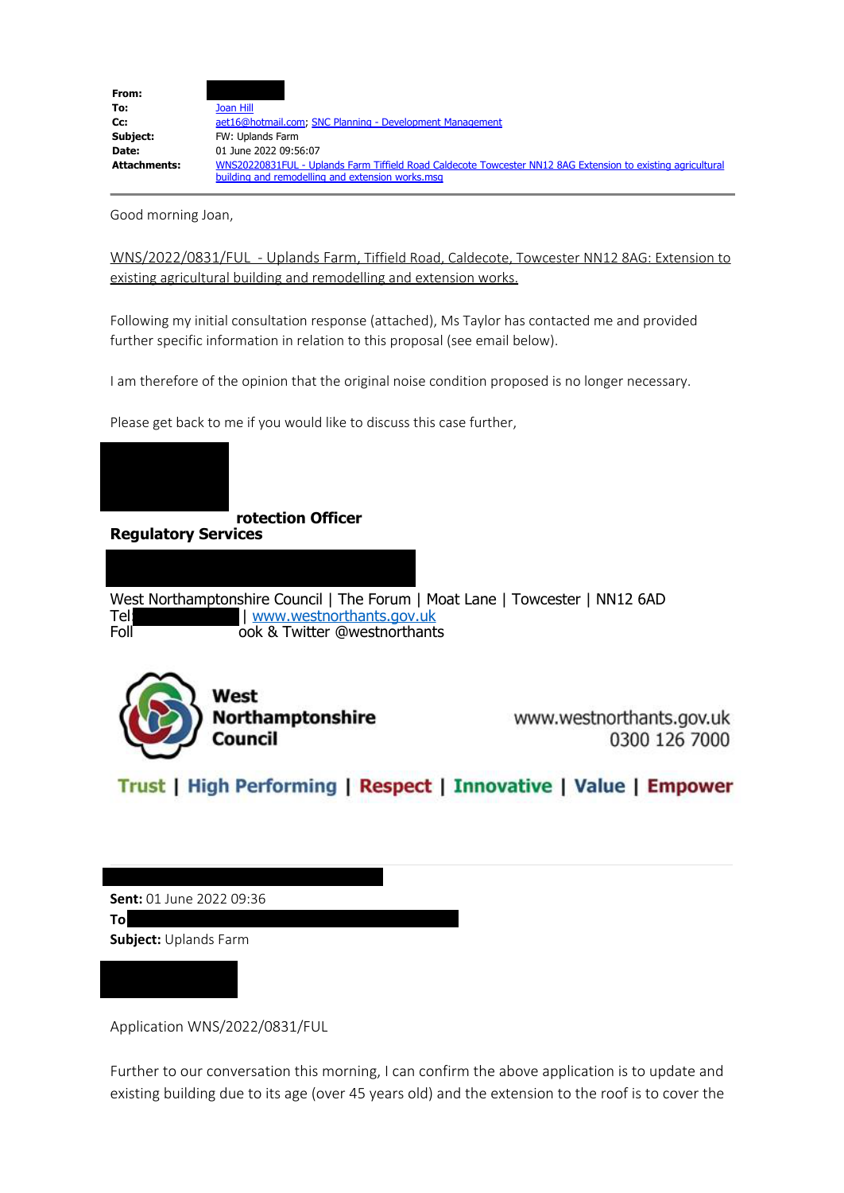

Good morning Joan,

WNS/2022/0831/FUL - Uplands Farm, Tiffield Road, Caldecote, Towcester NN12 8AG: Extension to existing agricultural building and remodelling and extension works.

Following my initial consultation response (attached), Ms Taylor has contacted me and provided further specific information in relation to this proposal (see email below).

I am therefore of the opinion that the original noise condition proposed is no longer necessary.

Please get back to me if you would like to discuss this case further,



 **rotection Officer**

**Regulatory Services**

West Northamptonshire Council | The Forum | Moat Lane | Towcester | NN12 6AD<br>Tel Tel: | [www.westnorthants.gov.uk](http://www.westnorthants.gov.uk/)<br>| ook & Twitter @westnorthant ook & Twitter @westnorthants



www.westnorthants.gov.uk 0300 126 7000

Trust | High Performing | Respect | Innovative | Value | Empower

**Sent:** 01 June 2022 09:36

**To**

L

**Subject:** Uplands Farm

Application WNS/2022/0831/FUL

Further to our conversation this morning, I can confirm the above application is to update and existing building due to its age (over 45 years old) and the extension to the roof is to cover the